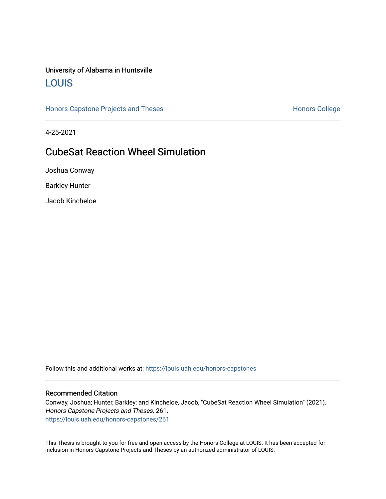### University of Alabama in Huntsville [LOUIS](https://louis.uah.edu/)

[Honors Capstone Projects and Theses](https://louis.uah.edu/honors-capstones) **Honors College** Honors College

4-25-2021

### CubeSat Reaction Wheel Simulation

Joshua Conway

Barkley Hunter

Jacob Kincheloe

Follow this and additional works at: [https://louis.uah.edu/honors-capstones](https://louis.uah.edu/honors-capstones?utm_source=louis.uah.edu%2Fhonors-capstones%2F261&utm_medium=PDF&utm_campaign=PDFCoverPages) 

#### Recommended Citation

Conway, Joshua; Hunter, Barkley; and Kincheloe, Jacob, "CubeSat Reaction Wheel Simulation" (2021). Honors Capstone Projects and Theses. 261. [https://louis.uah.edu/honors-capstones/261](https://louis.uah.edu/honors-capstones/261?utm_source=louis.uah.edu%2Fhonors-capstones%2F261&utm_medium=PDF&utm_campaign=PDFCoverPages) 

This Thesis is brought to you for free and open access by the Honors College at LOUIS. It has been accepted for inclusion in Honors Capstone Projects and Theses by an authorized administrator of LOUIS.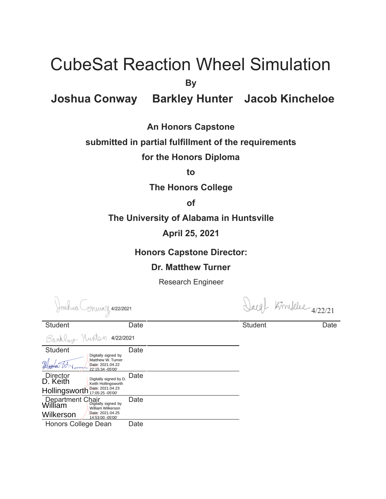# CubeSat Reaction Wheel Simulation

**By** 

### **Joshua Conway Barkley Hunter Jacob Kincheloe**

### **An Honors Capstone**

### **submitted in partial fulfillment of the requirements**

### **for the Honors Diploma**

**to** 

### **The Honors College**

### **of**

### **The University of Alabama in Huntsville**

**April 25, 2021** 

### **Honors Capstone Director:**

### **Dr. Matthew Turner**

Research Engineer

- ANWAY, <mark>4/22/2021</mark>

Reublen Hustan 4/22/2021

arg) Kindelee 4/22/21

Student Date Date **Date** Student Date

| Luummaat                                               |                                                           |      |  |  |  |
|--------------------------------------------------------|-----------------------------------------------------------|------|--|--|--|
| <b>Student</b>                                         | Digitally signed by                                       | Date |  |  |  |
|                                                        | Matthew W. Turner<br>Date: 2021.04.22<br>22:15:34 -05'00' |      |  |  |  |
| <b>Director</b><br>D. Keith                            | Digitally signed by D.<br>Keith Hollingsworth             | Date |  |  |  |
| Hollingsworth                                          | Date: 2021.04.23<br>17:05:25 - 05'00'                     |      |  |  |  |
| Department Chair<br>William <b>Digitally signed by</b> | William Wilkerson                                         | Date |  |  |  |
| Wilkerson                                              | Date: 2021.04.25<br>14:53:00 -05'00'                      |      |  |  |  |
| Honors College Dean                                    |                                                           | Date |  |  |  |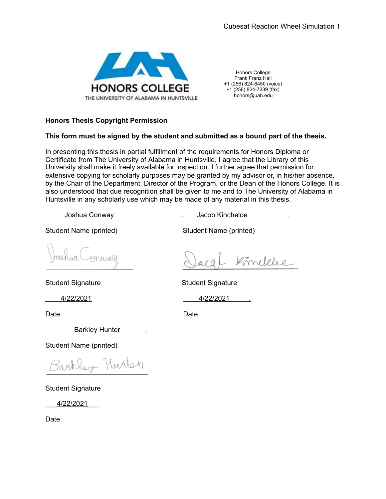

Honors College Frank Franz Hall +1 (256) 824-6450 (voice)  $+1$  (256) 824-7339 (fax) honors@uah.edu

#### **Honors Thesis Copyright Permission**

#### **This form must be signed by the student and submitted as a bound part of the thesis.**

In presenting this thesis in partial fulfillment of the requirements for Honors Diploma or Certificate from The University of Alabama in Huntsville, I agree that the Library of this University shall make it freely available for inspection. I further agree that permission for extensive copying for scholarly purposes may be granted by my advisor or, in his/her absence, by the Chair of the Department, Director of the Program, or the Dean of the Honors College. It is also understood that due recognition shall be given to me and to The University of Alabama in Huntsville in any scholarly use which may be made of any material in this thesis.

Student Name (printed) Student Name (printed)

Student Signature Student Signature

Barkley Hunter ...

Student Name (printed)

Barkley Hunton

Student Signature

\_\_\_ 4/22/2021 \_\_\_

Date

Joshua Conway ... . . . . . . . . Jacob Kincheloe

Kimelelee

4/22/2021 4/22/2021 .

Date **Date Date Date Date**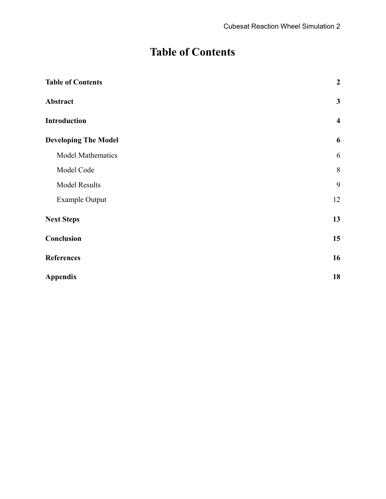## **Table of Contents**

<span id="page-3-0"></span>

| <b>Table of Contents</b>    | $\overline{2}$          |
|-----------------------------|-------------------------|
| Abstract                    | $\mathbf{3}$            |
| Introduction                | $\overline{\mathbf{4}}$ |
| <b>Developing The Model</b> | 6                       |
| Model Mathematics           | 6                       |
| Model Code                  | $\,8\,$                 |
| <b>Model Results</b>        | 9                       |
| <b>Example Output</b>       | 12                      |
| <b>Next Steps</b>           | 13                      |
| Conclusion                  | 15                      |
| <b>References</b>           | 16                      |
| <b>Appendix</b>             | 18                      |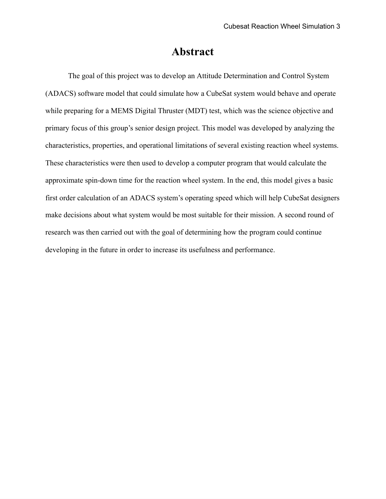### **Abstract**

<span id="page-4-0"></span>The goal of this project was to develop an Attitude Determination and Control System (ADACS) software model that could simulate how a CubeSat system would behave and operate while preparing for a MEMS Digital Thruster (MDT) test, which was the science objective and primary focus of this group's senior design project. This model was developed by analyzing the characteristics, properties, and operational limitations of several existing reaction wheel systems. These characteristics were then used to develop a computer program that would calculate the approximate spin-down time for the reaction wheel system. In the end, this model gives a basic first order calculation of an ADACS system's operating speed which will help CubeSat designers make decisions about what system would be most suitable for their mission. A second round of research was then carried out with the goal of determining how the program could continue developing in the future in order to increase its usefulness and performance.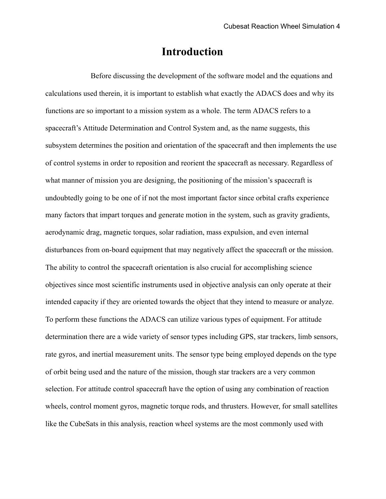### **Introduction**

Before discussing the development of the software model and the equations and calculations used therein, it is important to establish what exactly the ADACS does and why its functions are so important to a mission system as a whole. The term ADACS refers to a spacecraft's Attitude Determination and Control System and, as the name suggests, this subsystem determines the position and orientation of the spacecraft and then implements the use of control systems in order to reposition and reorient the spacecraft as necessary. Regardless of what manner of mission you are designing, the positioning of the mission's spacecraft is undoubtedly going to be one of if not the most important factor since orbital crafts experience many factors that impart torques and generate motion in the system, such as gravity gradients, aerodynamic drag, magnetic torques, solar radiation, mass expulsion, and even internal disturbances from on-board equipment that may negatively affect the spacecraft or the mission. The ability to control the spacecraft orientation is also crucial for accomplishing science objectives since most scientific instruments used in objective analysis can only operate at their intended capacity if they are oriented towards the object that they intend to measure or analyze. To perform these functions the ADACS can utilize various types of equipment. For attitude determination there are a wide variety of sensor types including GPS, star trackers, limb sensors, rate gyros, and inertial measurement units. The sensor type being employed depends on the type of orbit being used and the nature of the mission, though star trackers are a very common selection. For attitude control spacecraft have the option of using any combination of reaction wheels, control moment gyros, magnetic torque rods, and thrusters. However, for small satellites like the CubeSats in this analysis, reaction wheel systems are the most commonly used with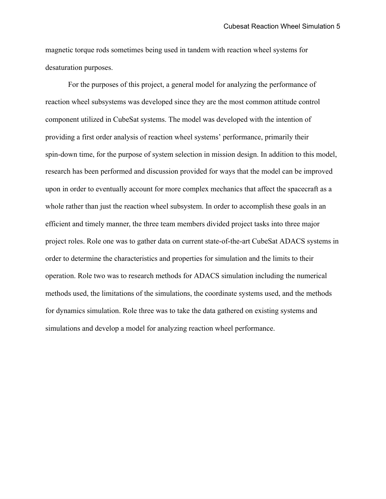magnetic torque rods sometimes being used in tandem with reaction wheel systems for desaturation purposes.

For the purposes of this project, a general model for analyzing the performance of reaction wheel subsystems was developed since they are the most common attitude control component utilized in CubeSat systems. The model was developed with the intention of providing a first order analysis of reaction wheel systems' performance, primarily their spin-down time, for the purpose of system selection in mission design. In addition to this model, research has been performed and discussion provided for ways that the model can be improved upon in order to eventually account for more complex mechanics that affect the spacecraft as a whole rather than just the reaction wheel subsystem. In order to accomplish these goals in an efficient and timely manner, the three team members divided project tasks into three major project roles. Role one was to gather data on current state-of-the-art CubeSat ADACS systems in order to determine the characteristics and properties for simulation and the limits to their operation. Role two was to research methods for ADACS simulation including the numerical methods used, the limitations of the simulations, the coordinate systems used, and the methods for dynamics simulation. Role three was to take the data gathered on existing systems and simulations and develop a model for analyzing reaction wheel performance.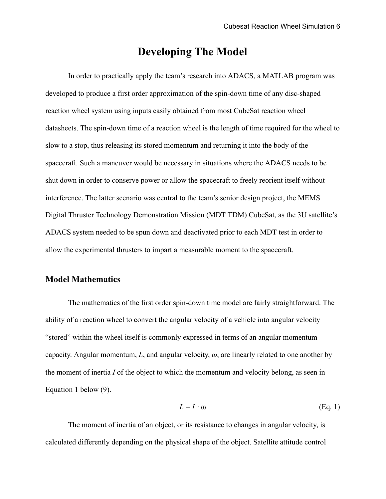### **Developing The Model**

<span id="page-7-0"></span>In order to practically apply the team's research into ADACS, a MATLAB program was developed to produce a first order approximation of the spin-down time of any disc-shaped reaction wheel system using inputs easily obtained from most CubeSat reaction wheel datasheets. The spin-down time of a reaction wheel is the length of time required for the wheel to slow to a stop, thus releasing its stored momentum and returning it into the body of the spacecraft. Such a maneuver would be necessary in situations where the ADACS needs to be shut down in order to conserve power or allow the spacecraft to freely reorient itself without interference. The latter scenario was central to the team's senior design project, the MEMS Digital Thruster Technology Demonstration Mission (MDT TDM) CubeSat, as the 3U satellite's ADACS system needed to be spun down and deactivated prior to each MDT test in order to allow the experimental thrusters to impart a measurable moment to the spacecraft.

### <span id="page-7-1"></span>**Model Mathematics**

The mathematics of the first order spin-down time model are fairly straightforward. The ability of a reaction wheel to convert the angular velocity of a vehicle into angular velocity "stored" within the wheel itself is commonly expressed in terms of an angular momentum capacity. Angular momentum,  $L$ , and angular velocity,  $\omega$ , are linearly related to one another by the moment of inertia *I* of the object to which the momentum and velocity belong, as seen in Equation 1 below (9).

$$
L = I \cdot \omega \tag{Eq. 1}
$$

The moment of inertia of an object, or its resistance to changes in angular velocity, is calculated differently depending on the physical shape of the object. Satellite attitude control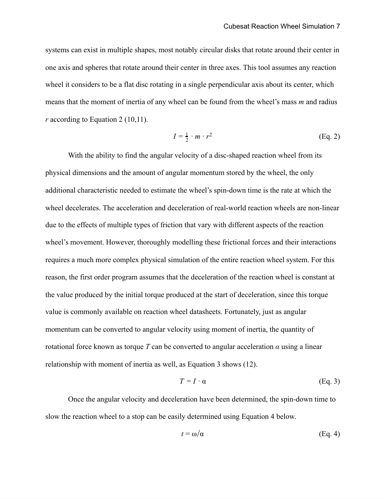systems can exist in multiple shapes, most notably circular disks that rotate around their center in one axis and spheres that rotate around their center in three axes. This tool assumes any reaction wheel it considers to be a flat disc rotating in a single perpendicular axis about its center, which means that the moment of inertia of any wheel can be found from the wheel's mass *m* and radius *r* according to Equation 2 (10,11).

$$
I = \frac{1}{2} \cdot m \cdot r^2 \tag{Eq. 2}
$$

With the ability to find the angular velocity of a disc-shaped reaction wheel from its physical dimensions and the amount of angular momentum stored by the wheel, the only additional characteristic needed to estimate the wheel's spin-down time is the rate at which the wheel decelerates. The acceleration and deceleration of real-world reaction wheels are non-linear due to the effects of multiple types of friction that vary with different aspects of the reaction wheel's movement. However, thoroughly modelling these frictional forces and their interactions requires a much more complex physical simulation of the entire reaction wheel system. For this reason, the first order program assumes that the deceleration of the reaction wheel is constant at the value produced by the initial torque produced at the start of deceleration, since this torque value is commonly available on reaction wheel datasheets. Fortunately, just as angular momentum can be converted to angular velocity using moment of inertia, the quantity of rotational force known as torque *T* can be converted to angular acceleration *α* using a linear relationship with moment of inertia as well, as Equation 3 shows (12).

$$
T = I \cdot \alpha \tag{Eq. 3}
$$

Once the angular velocity and deceleration have been determined, the spin-down time to slow the reaction wheel to a stop can be easily determined using Equation 4 below.

$$
t = \omega/\alpha \tag{Eq. 4}
$$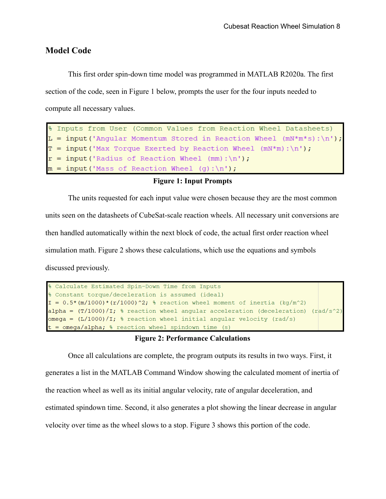#### <span id="page-9-0"></span>**Model Code**

This first order spin-down time model was programmed in MATLAB R2020a. The first section of the code, seen in Figure 1 below, prompts the user for the four inputs needed to compute all necessary values.

```
% Inputs from User (Common Values from Reaction Wheel Datasheets)
T = input ('Max Torque Exerted by Reaction Wheel (mN*m): \n \n \begin{bmatrix} n' & n' \end{bmatrix}r = input('Radius of Reaction wheel (mm): \n'');
m = input('Mass of Reaction Wheeler (g): \n<br>\n));
```
#### **Figure 1: Input Prompts**

The units requested for each input value were chosen because they are the most common

units seen on the datasheets of CubeSat-scale reaction wheels. All necessary unit conversions are then handled automatically within the next block of code, the actual first order reaction wheel simulation math. Figure 2 shows these calculations, which use the equations and symbols discussed previously.

```
% Calculate Estimated Spin-Down Time from Inputs
% Constant torque/deceleration is assumed (ideal)
I = 0.5*(m/1000)*(r/1000)^2; % reaction wheel moment of inertia (kg/m<sup>2</sup>2)
alpha = (T/1000)/I; % reaction wheel angular acceleration (deceleration) (rad/s^2)
omega = (L/1000)/I; % reaction wheel initial angular velocity (rad/s)
t = \text{omega/alpha}, \ reaction wheel spindown time (s)
```
#### **Figure 2: Performance Calculations**

Once all calculations are complete, the program outputs its results in two ways. First, it generates a list in the MATLAB Command Window showing the calculated moment of inertia of the reaction wheel as well as its initial angular velocity, rate of angular deceleration, and estimated spindown time. Second, it also generates a plot showing the linear decrease in angular velocity over time as the wheel slows to a stop. Figure 3 shows this portion of the code.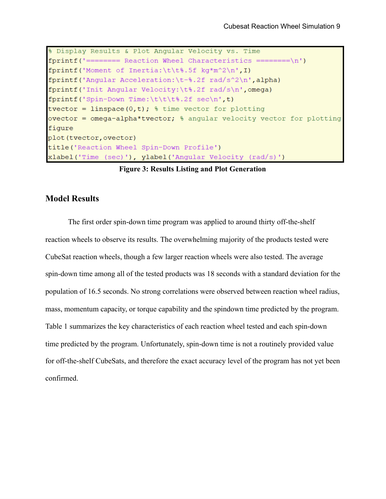```
% Display Results & Plot Angular Velocity vs. Time
fprint(f') ======== Reaction Wheel Characteristics ========\n\cdot n')
fprintf('Moment of Inertia:\t\t%.5f kq*m^2\n',I)
fprintf ('Angular Acceleration:\t-%.2f rad/s^2\n',alpha)
fprintf('Init Angular Velocity:\t%.2f rad/s\n',omega)
fprintf('Spin-Down Time:\t\t\t%.2f sec\n',t)
tvector = linspace(0,t); \frac{1}{2} time vector for plotting
ovector = omega-alpha*tvector; % angular velocity vector for plotting
figure
plot (tvector, ovector)
title('Reaction Wheel Spin-Down Profile')
xlabel('Time (sec)'), ylabel('Angular Velocity (rad/s)')
```
**Figure 3: Results Listing and Plot Generation** 

#### <span id="page-10-0"></span>**Model Results**

The first order spin-down time program was applied to around thirty off-the-shelf reaction wheels to observe its results. The overwhelming majority of the products tested were CubeSat reaction wheels, though a few larger reaction wheels were also tested. The average spin-down time among all of the tested products was 18 seconds with a standard deviation for the population of 16.5 seconds. No strong correlations were observed between reaction wheel radius, mass, momentum capacity, or torque capability and the spindown time predicted by the program. Table 1 summarizes the key characteristics of each reaction wheel tested and each spin-down time predicted by the program. Unfortunately, spin-down time is not a routinely provided value for off-the-shelf CubeSats, and therefore the exact accuracy level of the program has not yet been confirmed.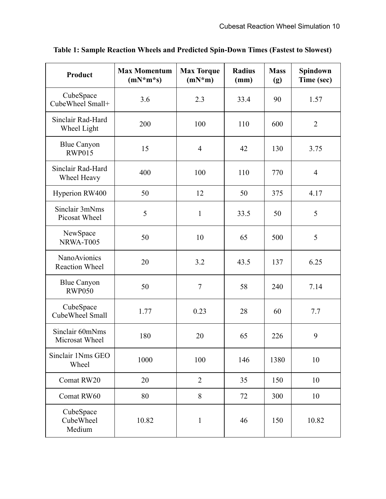| <b>Product</b>                               | <b>Max Momentum</b><br>$(mN*m*s)$ | <b>Max Torque</b><br>$(mN*m)$ | <b>Radius</b><br>(mm) | <b>Mass</b><br>(g) | Spindown<br>Time (sec) |
|----------------------------------------------|-----------------------------------|-------------------------------|-----------------------|--------------------|------------------------|
| CubeSpace<br>CubeWheel Small+                | 3.6                               | 2.3                           | 33.4                  | 90                 | 1.57                   |
| Sinclair Rad-Hard<br>Wheel Light             | 200                               | 100                           | 110                   | 600                | $\overline{2}$         |
| <b>Blue Canyon</b><br><b>RWP015</b>          | 15                                | $\overline{4}$                | 42                    | 130                | 3.75                   |
| Sinclair Rad-Hard<br>Wheel Heavy             | 400                               | 100                           | 110                   | 770                | $\overline{4}$         |
| Hyperion RW400                               | 50                                | 12                            | 50                    | 375                | 4.17                   |
| Sinclair 3mNms<br>Picosat Wheel              | 5                                 | $\mathbf{1}$                  | 33.5                  | 50                 | 5                      |
| NewSpace<br>NRWA-T005                        | 50                                | 10                            | 65                    | 500                | 5                      |
| <b>NanoAvionics</b><br><b>Reaction Wheel</b> | 20                                | 3.2                           | 43.5                  | 137                | 6.25                   |
| <b>Blue Canyon</b><br><b>RWP050</b>          | 50                                | $\overline{7}$                | 58                    | 240                | 7.14                   |
| CubeSpace<br>CubeWheel Small                 | 1.77                              | 0.23                          | 28                    | 60                 | 7.7                    |
| Sinclair 60mNms<br>Microsat Wheel            | 180                               | 20                            | 65                    | 226                | 9                      |
| Sinclair 1Nms GEO<br>Wheel                   | 1000                              | 100                           | 146                   | 1380               | 10                     |
| Comat RW20                                   | 20                                | $\overline{2}$                | 35                    | 150                | 10                     |
| Comat RW60                                   | 80                                | 8                             | 72                    | 300                | 10                     |
| CubeSpace<br>CubeWheel<br>Medium             | 10.82                             | $\mathbf{1}$                  | 46                    | 150                | 10.82                  |

**Table 1: Sample Reaction Wheels and Predicted Spin-Down Times (Fastest to Slowest)**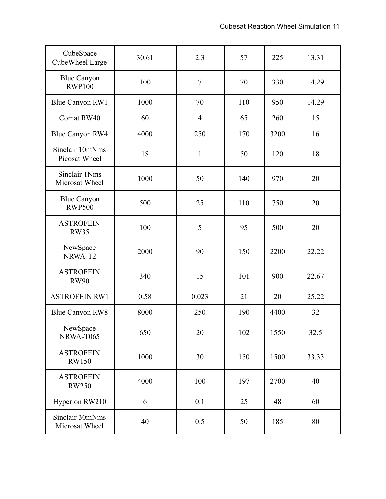| CubeSpace<br>CubeWheel Large        | 30.61 | 2.3            | 57  | 225  | 13.31 |
|-------------------------------------|-------|----------------|-----|------|-------|
| <b>Blue Canyon</b><br><b>RWP100</b> | 100   | $\tau$         | 70  | 330  | 14.29 |
| <b>Blue Canyon RW1</b>              | 1000  | 70             | 110 | 950  | 14.29 |
| Comat RW40                          | 60    | $\overline{4}$ | 65  | 260  | 15    |
| Blue Canyon RW4                     | 4000  | 250            | 170 | 3200 | 16    |
| Sinclair 10mNms<br>Picosat Wheel    | 18    | $\mathbf{1}$   | 50  | 120  | 18    |
| Sinclair 1Nms<br>Microsat Wheel     | 1000  | 50             | 140 | 970  | 20    |
| <b>Blue Canyon</b><br><b>RWP500</b> | 500   | 25             | 110 | 750  | 20    |
| <b>ASTROFEIN</b><br><b>RW35</b>     | 100   | 5              | 95  | 500  | 20    |
| NewSpace<br>NRWA-T2                 | 2000  | 90             | 150 | 2200 | 22.22 |
| <b>ASTROFEIN</b><br><b>RW90</b>     | 340   | 15             | 101 | 900  | 22.67 |
| <b>ASTROFEIN RW1</b>                | 0.58  | 0.023          | 21  | 20   | 25.22 |
| <b>Blue Canyon RW8</b>              | 8000  | 250            | 190 | 4400 | 32    |
| NewSpace<br>NRWA-T065               | 650   | 20             | 102 | 1550 | 32.5  |
| <b>ASTROFEIN</b><br><b>RW150</b>    | 1000  | 30             | 150 | 1500 | 33.33 |
| <b>ASTROFEIN</b><br><b>RW250</b>    | 4000  | 100            | 197 | 2700 | 40    |
| Hyperion RW210                      | 6     | 0.1            | 25  | 48   | 60    |
| Sinclair 30mNms<br>Microsat Wheel   | 40    | 0.5            | 50  | 185  | 80    |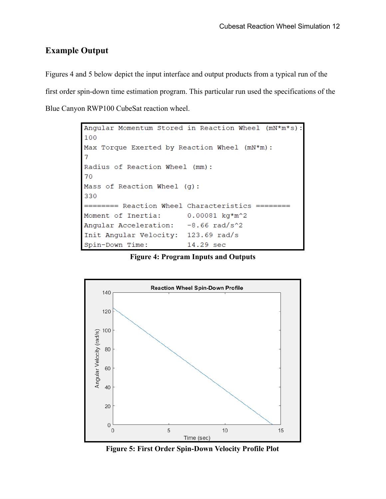### <span id="page-13-0"></span>**Example Output**

Figures 4 and 5 below depict the input interface and output products from a typical run of the first order spin-down time estimation program. This particular run used the specifications of the Blue Canyon RWP100 CubeSat reaction wheel.

```
Angular Momentum Stored in Reaction Wheel
                                             (mN^*m^*s):
100
Max Torque Exerted by Reaction Wheel (mN*m):
\overline{7}Radius of Reaction Wheel (mm):
70
Mass of Reaction Wheel (g):
330
   ===== Reaction Wheel Characteristics ======
\equivMoment of Inertia:
                         0.00081 kg*m^2
Angular Acceleration:
                         -8.66 rad/s^2Init Angular Velocity: 123.69 rad/s
Spin-Down Time:
                         14.29 sec
```
**Figure 4: Program Inputs and Outputs** 



**Figure 5: First Order Spin-Down Velocity Profile Plot**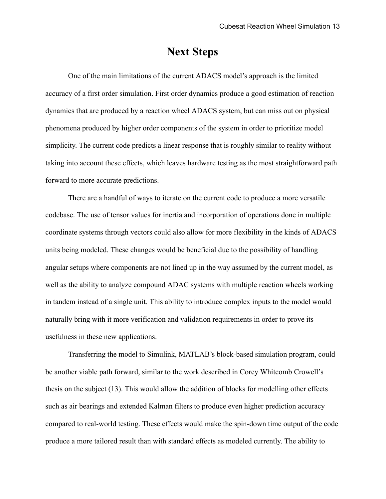### **Next Steps**

<span id="page-14-0"></span>One of the main limitations of the current ADACS model's approach is the limited accuracy of a first order simulation. First order dynamics produce a good estimation of reaction dynamics that are produced by a reaction wheel ADACS system, but can miss out on physical phenomena produced by higher order components of the system in order to prioritize model simplicity. The current code predicts a linear response that is roughly similar to reality without taking into account these effects, which leaves hardware testing as the most straightforward path forward to more accurate predictions.

 There are a handful of ways to iterate on the current code to produce a more versatile codebase. The use of tensor values for inertia and incorporation of operations done in multiple coordinate systems through vectors could also allow for more flexibility in the kinds of ADACS units being modeled. These changes would be beneficial due to the possibility of handling angular setups where components are not lined up in the way assumed by the current model, as well as the ability to analyze compound ADAC systems with multiple reaction wheels working in tandem instead of a single unit. This ability to introduce complex inputs to the model would naturally bring with it more verification and validation requirements in order to prove its usefulness in these new applications.

Transferring the model to Simulink, MATLAB's block-based simulation program, could be another viable path forward, similar to the work described in Corey Whitcomb Crowell's thesis on the subject (13). This would allow the addition of blocks for modelling other effects such as air bearings and extended Kalman filters to produce even higher prediction accuracy compared to real-world testing. These effects would make the spin-down time output of the code produce a more tailored result than with standard effects as modeled currently. The ability to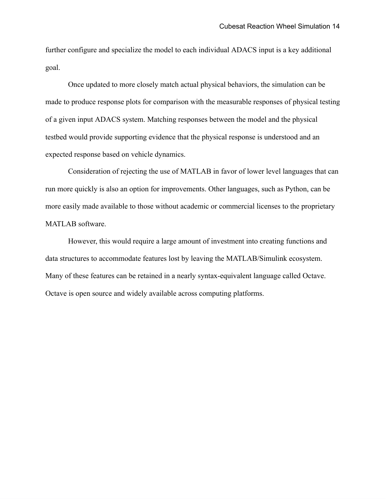further configure and specialize the model to each individual ADACS input is a key additional goal.

Once updated to more closely match actual physical behaviors, the simulation can be made to produce response plots for comparison with the measurable responses of physical testing of a given input ADACS system. Matching responses between the model and the physical testbed would provide supporting evidence that the physical response is understood and an expected response based on vehicle dynamics.

Consideration of rejecting the use of MATLAB in favor of lower level languages that can run more quickly is also an option for improvements. Other languages, such as Python, can be more easily made available to those without academic or commercial licenses to the proprietary MATLAB software.

However, this would require a large amount of investment into creating functions and data structures to accommodate features lost by leaving the MATLAB/Simulink ecosystem. Many of these features can be retained in a nearly syntax-equivalent language called Octave. Octave is open source and widely available across computing platforms.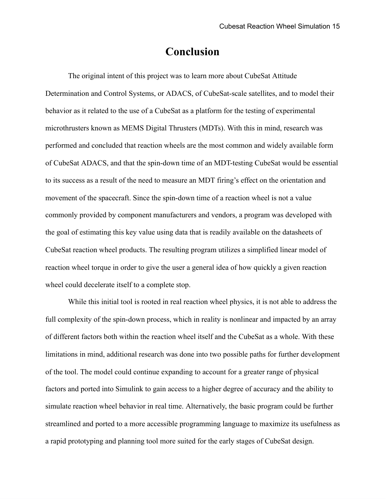### **Conclusion**

<span id="page-16-0"></span>The original intent of this project was to learn more about CubeSat Attitude Determination and Control Systems, or ADACS, of CubeSat-scale satellites, and to model their behavior as it related to the use of a CubeSat as a platform for the testing of experimental microthrusters known as MEMS Digital Thrusters (MDTs). With this in mind, research was performed and concluded that reaction wheels are the most common and widely available form of CubeSat ADACS, and that the spin-down time of an MDT-testing CubeSat would be essential to its success as a result of the need to measure an MDT firing's effect on the orientation and movement of the spacecraft. Since the spin-down time of a reaction wheel is not a value commonly provided by component manufacturers and vendors, a program was developed with the goal of estimating this key value using data that is readily available on the datasheets of CubeSat reaction wheel products. The resulting program utilizes a simplified linear model of reaction wheel torque in order to give the user a general idea of how quickly a given reaction wheel could decelerate itself to a complete stop.

While this initial tool is rooted in real reaction wheel physics, it is not able to address the full complexity of the spin-down process, which in reality is nonlinear and impacted by an array of different factors both within the reaction wheel itself and the CubeSat as a whole. With these limitations in mind, additional research was done into two possible paths for further development of the tool. The model could continue expanding to account for a greater range of physical factors and ported into Simulink to gain access to a higher degree of accuracy and the ability to simulate reaction wheel behavior in real time. Alternatively, the basic program could be further streamlined and ported to a more accessible programming language to maximize its usefulness as a rapid prototyping and planning tool more suited for the early stages of CubeSat design.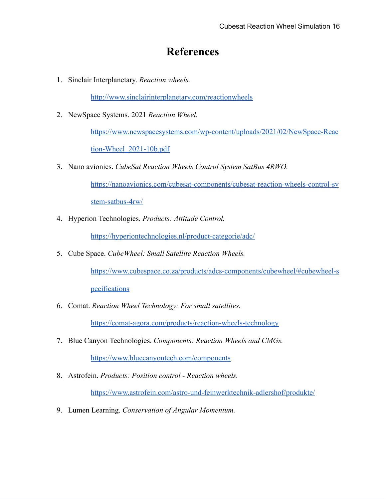### **References**

<span id="page-17-0"></span>1. Sinclair Interplanetary. *Reaction wheels.* 

<http://www.sinclairinterplanetary.com/reactionwheels>

2. NewSpace Systems. 2021 *Reaction Wheel.* 

[https://www.newspacesystems.com/wp-content/uploads/2021/02/NewSpace-Reac](https://www.newspacesystems.com/wp-content/uploads/2021/02/NewSpace-Reaction-Wheel_2021-10b.pdf) 

[tion-Wheel\\_2021-10b.pdf](https://www.newspacesystems.com/wp-content/uploads/2021/02/NewSpace-Reaction-Wheel_2021-10b.pdf) 

3. Nano avionics. *CubeSat Reaction Wheels Control System SatBus 4RWO.* 

[https://nanoavionics.com/cubesat-components/cubesat-reaction-wheels-control-sy](https://nanoavionics.com/cubesat-components/cubesat-reaction-wheels-control-system-satbus-4rw/)  [stem-satbus-4rw/](https://nanoavionics.com/cubesat-components/cubesat-reaction-wheels-control-system-satbus-4rw/)

4. Hyperion Technologies. *Products: Attitude Control.* 

<https://hyperiontechnologies.nl/product-categorie/adc/>

5. Cube Space. *CubeWheel: Small Satellite Reaction Wheels.* 

[https://www.cubespace.co.za/products/adcs-components/cubewheel/#cubewheel-s](https://www.cubespace.co.za/products/adcs-components/cubewheel/#cubewheel-specifications) 

[pecifications](https://www.cubespace.co.za/products/adcs-components/cubewheel/#cubewheel-specifications) 

6. Comat. *Reaction Wheel Technology: For small satellites.* 

<https://comat-agora.com/products/reaction-wheels-technology>

7. Blue Canyon Technologies. *Components: Reaction Wheels and CMGs.* 

<https://www.bluecanyontech.com/components>

8. Astrofein. *Products: Position control - Reaction wheels.* 

<https://www.astrofein.com/astro-und-feinwerktechnik-adlershof/produkte/>

9. Lumen Learning. *Conservation of Angular Momentum.*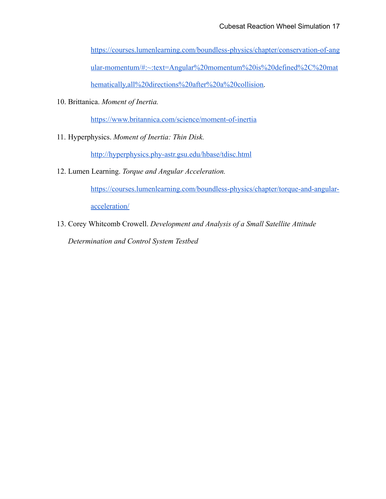[https://courses.lumenlearning.com/boundless-physics/chapter/conservation-of-ang](https://courses.lumenlearning.com/boundless-physics/chapter/conservation-of-angular-momentum/#:~:text=Angular%20momentum%20is%20defined%2C%20mathematically,all%20directions%20after%20a%20collision) 

[ular-momentum/#:~:text=Angular%20momentum%20is%20defined%2C%20mat](https://courses.lumenlearning.com/boundless-physics/chapter/conservation-of-angular-momentum/#:~:text=Angular%20momentum%20is%20defined%2C%20mathematically,all%20directions%20after%20a%20collision) 

hematically,all%20directions%20after%20a%20collision.

10. Brittanica. *Moment of Inertia.* 

<https://www.britannica.com/science/moment-of-inertia>

11. Hyperphysics. *Moment of Inertia: Thin Disk.* 

<http://hyperphysics.phy-astr.gsu.edu/hbase/tdisc.html>

12. Lumen Learning. *Torque and Angular Acceleration.* 

[https://courses.lumenlearning.com/boundless-physics/chapter/torque-and-angular-](https://courses.lumenlearning.com/boundless-physics/chapter/torque-and-angular-acceleration/)

[acceleration/](https://courses.lumenlearning.com/boundless-physics/chapter/torque-and-angular-acceleration/) 

13. Corey Whitcomb Crowell. *Development and Analysis of a Small Satellite Attitude Determination and Control System Testbed*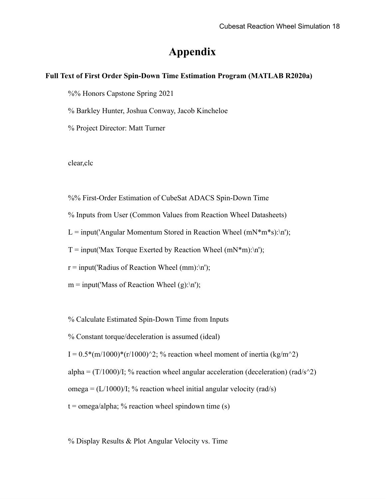### **Appendix**

#### <span id="page-19-0"></span>**Full Text of First Order Spin-Down Time Estimation Program (MATLAB R2020a)**

%% Honors Capstone Spring 2021

% Barkley Hunter, Joshua Conway, Jacob Kincheloe

% Project Director: Matt Turner

clear,clc

%% First-Order Estimation of CubeSat ADACS Spin-Down Time

% Inputs from User (Common Values from Reaction Wheel Datasheets)

L = input('Angular Momentum Stored in Reaction Wheel (mN\*m\*s):\n');

 $T = input('Max Torque Exerted by Reaction Wheeler (mN*m):\n'$ ;

 $r = input('Radius of Reaction Wheeler(mm):n');$ 

 $m = input('Mass of Reaction Wheeler(g):n');$ 

% Calculate Estimated Spin-Down Time from Inputs

% Constant torque/deceleration is assumed (ideal)

I =  $0.5*(m/1000)*(r/1000)^2$ ; % reaction wheel moment of inertia (kg/m<sup> $\sim$ </sup>2)

alpha =  $(T/1000)/I$ ; % reaction wheel angular acceleration (deceleration) (rad/s^2)

omega =  $(L/1000)/I$ ; % reaction wheel initial angular velocity (rad/s)

 $t = \text{omega/alpha}$ ; % reaction wheel spindown time (s)

% Display Results & Plot Angular Velocity vs. Time